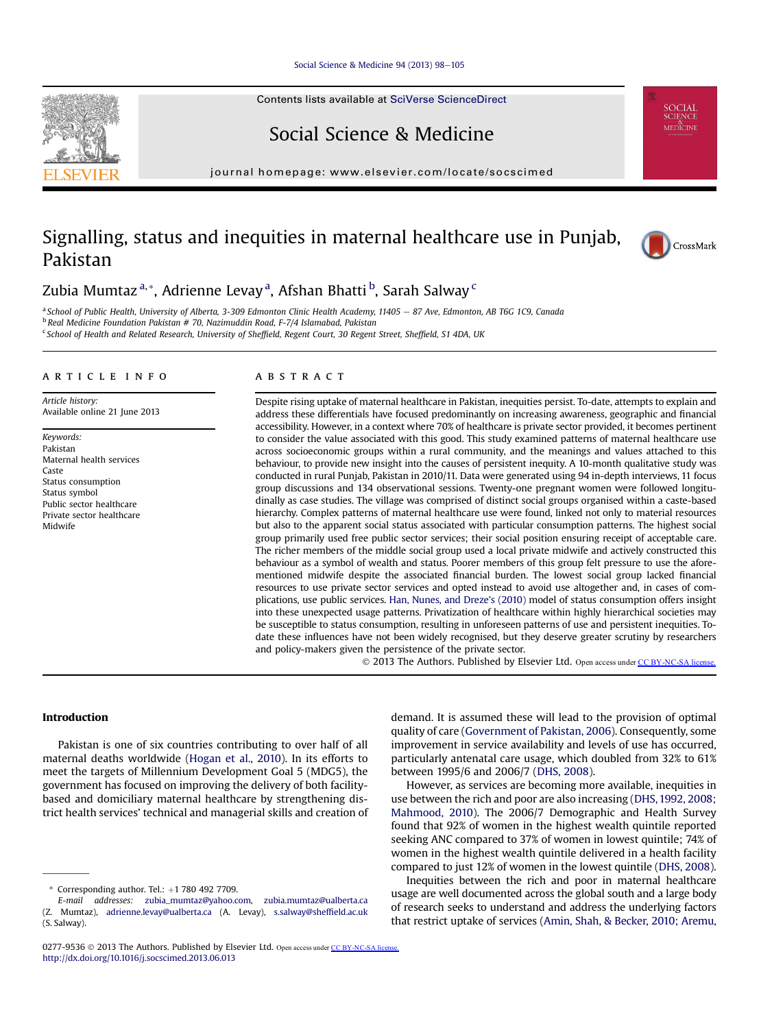#### Social Science & Medicine  $94$  (2013)  $98-105$  $98-105$

Contents lists available at [SciVerse ScienceDirect](www.sciencedirect.com/science/journal/02779536)

# Social Science & Medicine

journal homepage: [www.elsevier.com/locate/socscimed](http://www.elsevier.com/locate/socscimed)

## Signalling, status and inequities in maternal healthcare use in Punjab, Pakistan



<sup>a</sup> School of Public Health, University of Alberta, 3-309 Edmonton Clinic Health Academy, 11405 - 87 Ave, Edmonton, AB T6G 1C9, Canada  $<sup>b</sup>$  Real Medicine Foundation Pakistan # 70, Nazimuddin Road, F-7/4 Islamabad, Pakistan</sup> <sup>c</sup> School of Health and Related Research, University of Sheffield, Regent Court, 30 Regent Street, Sheffield, S1 4DA, UK

#### article info

Article history: Available online 21 June 2013

Keywords: Pakistan Maternal health services Caste Status consumption Status symbol Public sector healthcare Private sector healthcare Midwife

### **ABSTRACT**

Despite rising uptake of maternal healthcare in Pakistan, inequities persist. To-date, attempts to explain and address these differentials have focused predominantly on increasing awareness, geographic and financial accessibility. However, in a context where 70% of healthcare is private sector provided, it becomes pertinent to consider the value associated with this good. This study examined patterns of maternal healthcare use across socioeconomic groups within a rural community, and the meanings and values attached to this behaviour, to provide new insight into the causes of persistent inequity. A 10-month qualitative study was conducted in rural Punjab, Pakistan in 2010/11. Data were generated using 94 in-depth interviews, 11 focus group discussions and 134 observational sessions. Twenty-one pregnant women were followed longitudinally as case studies. The village was comprised of distinct social groups organised within a caste-based hierarchy. Complex patterns of maternal healthcare use were found, linked not only to material resources but also to the apparent social status associated with particular consumption patterns. The highest social group primarily used free public sector services; their social position ensuring receipt of acceptable care. The richer members of the middle social group used a local private midwife and actively constructed this behaviour as a symbol of wealth and status. Poorer members of this group felt pressure to use the aforementioned midwife despite the associated financial burden. The lowest social group lacked financial resources to use private sector services and opted instead to avoid use altogether and, in cases of complications, use public services. [Han, Nunes, and Dreze](#page-6-0)'s (2010) model of status consumption offers insight into these unexpected usage patterns. Privatization of healthcare within highly hierarchical societies may be susceptible to status consumption, resulting in unforeseen patterns of use and persistent inequities. Todate these influences have not been widely recognised, but they deserve greater scrutiny by researchers and policy-makers given the persistence of the private sector.

© 2013 The Authors. Published by Elsevier Ltd. Open access under [CC BY-NC-SA license.](http://creativecommons.org/licenses/by-nc-sa/3.0/)

## Introduction

Pakistan is one of six countries contributing to over half of all maternal deaths worldwide [\(Hogan et al., 2010\)](#page-6-0). In its efforts to meet the targets of Millennium Development Goal 5 (MDG5), the government has focused on improving the delivery of both facilitybased and domiciliary maternal healthcare by strengthening district health services' technical and managerial skills and creation of

use between the rich and poor are also increasing [\(DHS, 1992, 2008;](#page-7-0) [Mahmood, 2010](#page-7-0)). The 2006/7 Demographic and Health Survey found that 92% of women in the highest wealth quintile reported seeking ANC compared to 37% of women in lowest quintile; 74% of women in the highest wealth quintile delivered in a health facility compared to just 12% of women in the lowest quintile [\(DHS, 2008\)](#page-7-0).

Inequities between the rich and poor in maternal healthcare usage are well documented across the global south and a large body of research seeks to understand and address the underlying factors that restrict uptake of services ([Amin, Shah, & Becker, 2010; Aremu,](#page-6-0)







 $*$  Corresponding author. Tel.:  $+1$  780 492 7709.

E-mail addresses: [zubia\\_mumtaz@yahoo.com,](mailto:zubia_mumtaz@yahoo.com) [zubia.mumtaz@ualberta.ca](mailto:zubia.mumtaz@ualberta.ca) (Z. Mumtaz), [adrienne.levay@ualberta.ca](mailto:adrienne.levay@ualberta.ca) (A. Levay), [s.salway@shef](mailto:s.salway@sheffield.ac.uk)field.ac.uk (S. Salway).

demand. It is assumed these will lead to the provision of optimal quality of care ([Government of Pakistan, 2006\)](#page-6-0). Consequently, some improvement in service availability and levels of use has occurred, particularly antenatal care usage, which doubled from 32% to 61% between 1995/6 and 2006/7 ([DHS, 2008](#page-7-0)). However, as services are becoming more available, inequities in

<sup>0277-9536</sup>  $\circledcirc$  2013 The Authors. Published by Elsevier Ltd. Open access under [CC BY-NC-SA license.](http://creativecommons.org/licenses/by-nc-sa/3.0/) <http://dx.doi.org/10.1016/j.socscimed.2013.06.013>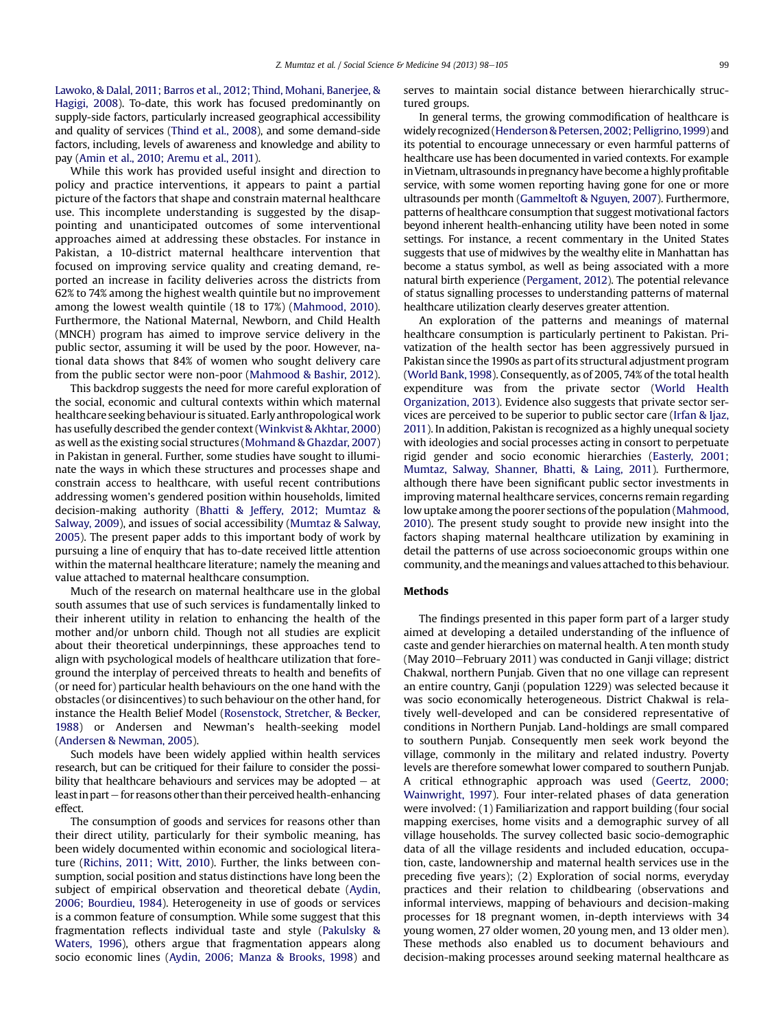[Lawoko, & Dalal, 2011; Barros et al., 2012; Thind, Mohani, Banerjee, &](#page-6-0) [Hagigi, 2008](#page-6-0)). To-date, this work has focused predominantly on supply-side factors, particularly increased geographical accessibility and quality of services [\(Thind et al., 2008](#page-7-0)), and some demand-side factors, including, levels of awareness and knowledge and ability to pay [\(Amin et al., 2010; Aremu et al., 2011](#page-6-0)).

While this work has provided useful insight and direction to policy and practice interventions, it appears to paint a partial picture of the factors that shape and constrain maternal healthcare use. This incomplete understanding is suggested by the disappointing and unanticipated outcomes of some interventional approaches aimed at addressing these obstacles. For instance in Pakistan, a 10-district maternal healthcare intervention that focused on improving service quality and creating demand, reported an increase in facility deliveries across the districts from 62% to 74% among the highest wealth quintile but no improvement among the lowest wealth quintile (18 to 17%) [\(Mahmood, 2010\)](#page-6-0). Furthermore, the National Maternal, Newborn, and Child Health (MNCH) program has aimed to improve service delivery in the public sector, assuming it will be used by the poor. However, national data shows that 84% of women who sought delivery care from the public sector were non-poor ([Mahmood & Bashir, 2012\)](#page-6-0).

This backdrop suggests the need for more careful exploration of the social, economic and cultural contexts within which maternal healthcare seeking behaviour is situated. Early anthropological work has usefully described the gender context ([Winkvist & Akhtar, 2000\)](#page-7-0) as well as the existing social structures [\(Mohmand & Ghazdar, 2007\)](#page-7-0) in Pakistan in general. Further, some studies have sought to illuminate the ways in which these structures and processes shape and constrain access to healthcare, with useful recent contributions addressing women's gendered position within households, limited decision-making authority [\(Bhatti & Jeffery, 2012; Mumtaz &](#page-6-0) [Salway, 2009](#page-6-0)), and issues of social accessibility ([Mumtaz & Salway,](#page-7-0) [2005\)](#page-7-0). The present paper adds to this important body of work by pursuing a line of enquiry that has to-date received little attention within the maternal healthcare literature; namely the meaning and value attached to maternal healthcare consumption.

Much of the research on maternal healthcare use in the global south assumes that use of such services is fundamentally linked to their inherent utility in relation to enhancing the health of the mother and/or unborn child. Though not all studies are explicit about their theoretical underpinnings, these approaches tend to align with psychological models of healthcare utilization that foreground the interplay of perceived threats to health and benefits of (or need for) particular health behaviours on the one hand with the obstacles (or disincentives) to such behaviour on the other hand, for instance the Health Belief Model [\(Rosenstock, Stretcher, & Becker,](#page-7-0) [1988\)](#page-7-0) or Andersen and Newman's health-seeking model ([Andersen & Newman, 2005\)](#page-6-0).

Such models have been widely applied within health services research, but can be critiqued for their failure to consider the possibility that healthcare behaviours and services may be adopted  $-$  at least in part  $-$  for reasons other than their perceived health-enhancing effect.

The consumption of goods and services for reasons other than their direct utility, particularly for their symbolic meaning, has been widely documented within economic and sociological literature ([Richins, 2011; Witt, 2010](#page-7-0)). Further, the links between consumption, social position and status distinctions have long been the subject of empirical observation and theoretical debate ([Aydin,](#page-6-0) [2006; Bourdieu, 1984](#page-6-0)). Heterogeneity in use of goods or services is a common feature of consumption. While some suggest that this fragmentation reflects individual taste and style ([Pakulsky &](#page-7-0) [Waters, 1996](#page-7-0)), others argue that fragmentation appears along socio economic lines ([Aydin, 2006; Manza & Brooks, 1998\)](#page-6-0) and serves to maintain social distance between hierarchically structured groups.

In general terms, the growing commodification of healthcare is widely recognized [\(Henderson& Petersen, 2002; Pelligrino,1999](#page-6-0)) and its potential to encourage unnecessary or even harmful patterns of healthcare use has been documented in varied contexts. For example in Vietnam, ultrasounds in pregnancy have become a highly profitable service, with some women reporting having gone for one or more ultrasounds per month [\(Gammeltoft & Nguyen, 2007\)](#page-6-0). Furthermore, patterns of healthcare consumption that suggest motivational factors beyond inherent health-enhancing utility have been noted in some settings. For instance, a recent commentary in the United States suggests that use of midwives by the wealthy elite in Manhattan has become a status symbol, as well as being associated with a more natural birth experience [\(Pergament, 2012\)](#page-7-0). The potential relevance of status signalling processes to understanding patterns of maternal healthcare utilization clearly deserves greater attention.

An exploration of the patterns and meanings of maternal healthcare consumption is particularly pertinent to Pakistan. Privatization of the health sector has been aggressively pursued in Pakistan since the 1990s as part of its structural adjustment program ([World Bank, 1998\)](#page-7-0). Consequently, as of 2005, 74% of the total health expenditure was from the private sector [\(World Health](#page-7-0) [Organization, 2013\)](#page-7-0). Evidence also suggests that private sector services are perceived to be superior to public sector care ([Irfan & Ijaz,](#page-6-0) [2011](#page-6-0)). In addition, Pakistan is recognized as a highly unequal society with ideologies and social processes acting in consort to perpetuate rigid gender and socio economic hierarchies ([Easterly, 2001;](#page-6-0) [Mumtaz, Salway, Shanner, Bhatti, & Laing, 2011](#page-6-0)). Furthermore, although there have been significant public sector investments in improving maternal healthcare services, concerns remain regarding low uptake among the poorer sections of the population [\(Mahmood,](#page-6-0) [2010\)](#page-6-0). The present study sought to provide new insight into the factors shaping maternal healthcare utilization by examining in detail the patterns of use across socioeconomic groups within one community, and the meanings and values attached to this behaviour.

#### Methods

The findings presented in this paper form part of a larger study aimed at developing a detailed understanding of the influence of caste and gender hierarchies on maternal health. A ten month study (May 2010–February 2011) was conducted in Ganji village; district Chakwal, northern Punjab. Given that no one village can represent an entire country, Ganji (population 1229) was selected because it was socio economically heterogeneous. District Chakwal is relatively well-developed and can be considered representative of conditions in Northern Punjab. Land-holdings are small compared to southern Punjab. Consequently men seek work beyond the village, commonly in the military and related industry. Poverty levels are therefore somewhat lower compared to southern Punjab. A critical ethnographic approach was used [\(Geertz, 2000;](#page-6-0) [Wainwright, 1997\)](#page-6-0). Four inter-related phases of data generation were involved: (1) Familiarization and rapport building (four social mapping exercises, home visits and a demographic survey of all village households. The survey collected basic socio-demographic data of all the village residents and included education, occupation, caste, landownership and maternal health services use in the preceding five years); (2) Exploration of social norms, everyday practices and their relation to childbearing (observations and informal interviews, mapping of behaviours and decision-making processes for 18 pregnant women, in-depth interviews with 34 young women, 27 older women, 20 young men, and 13 older men). These methods also enabled us to document behaviours and decision-making processes around seeking maternal healthcare as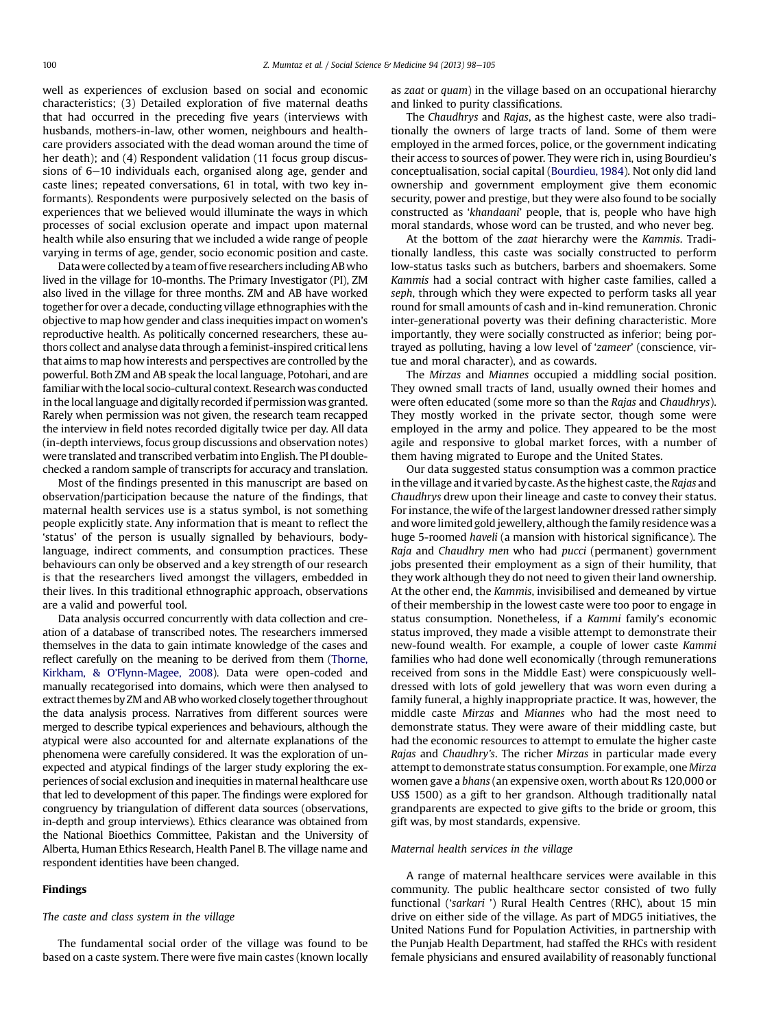well as experiences of exclusion based on social and economic characteristics; (3) Detailed exploration of five maternal deaths that had occurred in the preceding five years (interviews with husbands, mothers-in-law, other women, neighbours and healthcare providers associated with the dead woman around the time of her death); and (4) Respondent validation (11 focus group discussions of  $6-10$  individuals each, organised along age, gender and caste lines; repeated conversations, 61 in total, with two key informants). Respondents were purposively selected on the basis of experiences that we believed would illuminate the ways in which processes of social exclusion operate and impact upon maternal health while also ensuring that we included a wide range of people varying in terms of age, gender, socio economic position and caste.

Data were collected by a team of five researchers including AB who lived in the village for 10-months. The Primary Investigator (PI), ZM also lived in the village for three months. ZM and AB have worked together for over a decade, conducting village ethnographies with the objective to map how gender and class inequities impact on women's reproductive health. As politically concerned researchers, these authors collect and analyse data through a feminist-inspired critical lens that aims to map how interests and perspectives are controlled by the powerful. Both ZM and AB speak the local language, Potohari, and are familiarwith thelocal socio-cultural context. Researchwas conducted in the local language and digitally recorded if permissionwas granted. Rarely when permission was not given, the research team recapped the interview in field notes recorded digitally twice per day. All data (in-depth interviews, focus group discussions and observation notes) were translated and transcribed verbatim into English. The PI doublechecked a random sample of transcripts for accuracy and translation.

Most of the findings presented in this manuscript are based on observation/participation because the nature of the findings, that maternal health services use is a status symbol, is not something people explicitly state. Any information that is meant to reflect the 'status' of the person is usually signalled by behaviours, bodylanguage, indirect comments, and consumption practices. These behaviours can only be observed and a key strength of our research is that the researchers lived amongst the villagers, embedded in their lives. In this traditional ethnographic approach, observations are a valid and powerful tool.

Data analysis occurred concurrently with data collection and creation of a database of transcribed notes. The researchers immersed themselves in the data to gain intimate knowledge of the cases and reflect carefully on the meaning to be derived from them [\(Thorne,](#page-7-0) Kirkham, & O'[Flynn-Magee, 2008](#page-7-0)). Data were open-coded and manually recategorised into domains, which were then analysed to extract themes by ZM and ABwhoworked closely together throughout the data analysis process. Narratives from different sources were merged to describe typical experiences and behaviours, although the atypical were also accounted for and alternate explanations of the phenomena were carefully considered. It was the exploration of unexpected and atypical findings of the larger study exploring the experiences of social exclusion and inequities in maternal healthcare use that led to development of this paper. The findings were explored for congruency by triangulation of different data sources (observations, in-depth and group interviews). Ethics clearance was obtained from the National Bioethics Committee, Pakistan and the University of Alberta, Human Ethics Research, Health Panel B. The village name and respondent identities have been changed.

## Findings

### The caste and class system in the village

The fundamental social order of the village was found to be based on a caste system. There were five main castes (known locally as zaat or quam) in the village based on an occupational hierarchy and linked to purity classifications.

The Chaudhrys and Rajas, as the highest caste, were also traditionally the owners of large tracts of land. Some of them were employed in the armed forces, police, or the government indicating their access to sources of power. They were rich in, using Bourdieu's conceptualisation, social capital [\(Bourdieu, 1984](#page-6-0)). Not only did land ownership and government employment give them economic security, power and prestige, but they were also found to be socially constructed as 'khandaani' people, that is, people who have high moral standards, whose word can be trusted, and who never beg.

At the bottom of the zaat hierarchy were the Kammis. Traditionally landless, this caste was socially constructed to perform low-status tasks such as butchers, barbers and shoemakers. Some Kammis had a social contract with higher caste families, called a seph, through which they were expected to perform tasks all year round for small amounts of cash and in-kind remuneration. Chronic inter-generational poverty was their defining characteristic. More importantly, they were socially constructed as inferior; being portrayed as polluting, having a low level of 'zameer' (conscience, virtue and moral character), and as cowards.

The Mirzas and Miannes occupied a middling social position. They owned small tracts of land, usually owned their homes and were often educated (some more so than the Rajas and Chaudhrys). They mostly worked in the private sector, though some were employed in the army and police. They appeared to be the most agile and responsive to global market forces, with a number of them having migrated to Europe and the United States.

Our data suggested status consumption was a common practice in the village and it varied by caste. As the highest caste, the Rajas and Chaudhrys drew upon their lineage and caste to convey their status. For instance, the wife of the largest landowner dressed rather simply and wore limited gold jewellery, although the family residence was a huge 5-roomed haveli (a mansion with historical significance). The Raja and Chaudhry men who had pucci (permanent) government jobs presented their employment as a sign of their humility, that they work although they do not need to given their land ownership. At the other end, the Kammis, invisibilised and demeaned by virtue of their membership in the lowest caste were too poor to engage in status consumption. Nonetheless, if a Kammi family's economic status improved, they made a visible attempt to demonstrate their new-found wealth. For example, a couple of lower caste Kammi families who had done well economically (through remunerations received from sons in the Middle East) were conspicuously welldressed with lots of gold jewellery that was worn even during a family funeral, a highly inappropriate practice. It was, however, the middle caste Mirzas and Miannes who had the most need to demonstrate status. They were aware of their middling caste, but had the economic resources to attempt to emulate the higher caste Rajas and Chaudhry's. The richer Mirzas in particular made every attempt to demonstrate status consumption. For example, one Mirza women gave a bhans (an expensive oxen, worth about Rs 120,000 or US\$ 1500) as a gift to her grandson. Although traditionally natal grandparents are expected to give gifts to the bride or groom, this gift was, by most standards, expensive.

#### Maternal health services in the village

A range of maternal healthcare services were available in this community. The public healthcare sector consisted of two fully functional ('sarkari ') Rural Health Centres (RHC), about 15 min drive on either side of the village. As part of MDG5 initiatives, the United Nations Fund for Population Activities, in partnership with the Punjab Health Department, had staffed the RHCs with resident female physicians and ensured availability of reasonably functional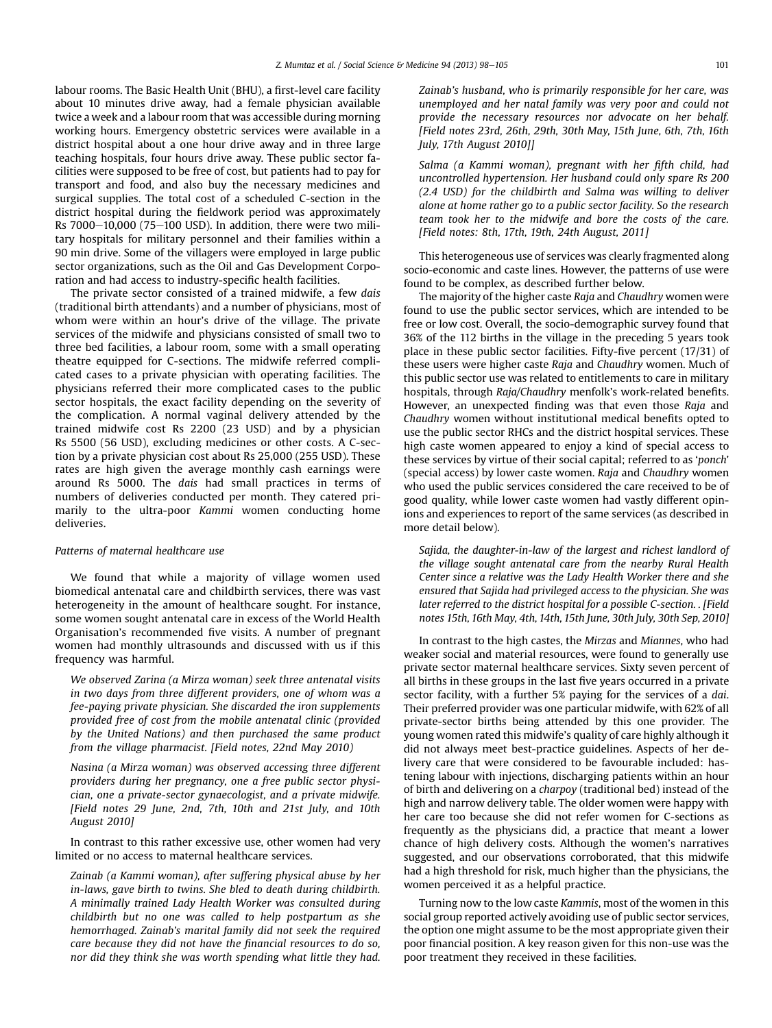labour rooms. The Basic Health Unit (BHU), a first-level care facility about 10 minutes drive away, had a female physician available twice a week and a labour room that was accessible during morning working hours. Emergency obstetric services were available in a district hospital about a one hour drive away and in three large teaching hospitals, four hours drive away. These public sector facilities were supposed to be free of cost, but patients had to pay for transport and food, and also buy the necessary medicines and surgical supplies. The total cost of a scheduled C-section in the district hospital during the fieldwork period was approximately Rs  $7000-10,000$  (75-100 USD). In addition, there were two military hospitals for military personnel and their families within a 90 min drive. Some of the villagers were employed in large public sector organizations, such as the Oil and Gas Development Corporation and had access to industry-specific health facilities.

The private sector consisted of a trained midwife, a few dais (traditional birth attendants) and a number of physicians, most of whom were within an hour's drive of the village. The private services of the midwife and physicians consisted of small two to three bed facilities, a labour room, some with a small operating theatre equipped for C-sections. The midwife referred complicated cases to a private physician with operating facilities. The physicians referred their more complicated cases to the public sector hospitals, the exact facility depending on the severity of the complication. A normal vaginal delivery attended by the trained midwife cost Rs 2200 (23 USD) and by a physician Rs 5500 (56 USD), excluding medicines or other costs. A C-section by a private physician cost about Rs 25,000 (255 USD). These rates are high given the average monthly cash earnings were around Rs 5000. The dais had small practices in terms of numbers of deliveries conducted per month. They catered primarily to the ultra-poor Kammi women conducting home deliveries.

#### Patterns of maternal healthcare use

We found that while a majority of village women used biomedical antenatal care and childbirth services, there was vast heterogeneity in the amount of healthcare sought. For instance, some women sought antenatal care in excess of the World Health Organisation's recommended five visits. A number of pregnant women had monthly ultrasounds and discussed with us if this frequency was harmful.

We observed Zarina (a Mirza woman) seek three antenatal visits in two days from three different providers, one of whom was a fee-paying private physician. She discarded the iron supplements provided free of cost from the mobile antenatal clinic (provided by the United Nations) and then purchased the same product from the village pharmacist. [Field notes, 22nd May 2010)

Nasina (a Mirza woman) was observed accessing three different providers during her pregnancy, one a free public sector physician, one a private-sector gynaecologist, and a private midwife. [Field notes 29 June, 2nd, 7th, 10th and 21st July, and 10th August 2010]

In contrast to this rather excessive use, other women had very limited or no access to maternal healthcare services.

Zainab (a Kammi woman), after suffering physical abuse by her in-laws, gave birth to twins. She bled to death during childbirth. A minimally trained Lady Health Worker was consulted during childbirth but no one was called to help postpartum as she hemorrhaged. Zainab's marital family did not seek the required care because they did not have the financial resources to do so, nor did they think she was worth spending what little they had.

Zainab's husband, who is primarily responsible for her care, was unemployed and her natal family was very poor and could not provide the necessary resources nor advocate on her behalf. [Field notes 23rd, 26th, 29th, 30th May, 15th June, 6th, 7th, 16th July, 17th August 2010]]

Salma (a Kammi woman), pregnant with her fifth child, had uncontrolled hypertension. Her husband could only spare Rs 200 (2.4 USD) for the childbirth and Salma was willing to deliver alone at home rather go to a public sector facility. So the research team took her to the midwife and bore the costs of the care. [Field notes: 8th, 17th, 19th, 24th August, 2011]

This heterogeneous use of services was clearly fragmented along socio-economic and caste lines. However, the patterns of use were found to be complex, as described further below.

The majority of the higher caste Raja and Chaudhry women were found to use the public sector services, which are intended to be free or low cost. Overall, the socio-demographic survey found that 36% of the 112 births in the village in the preceding 5 years took place in these public sector facilities. Fifty-five percent (17/31) of these users were higher caste Raja and Chaudhry women. Much of this public sector use was related to entitlements to care in military hospitals, through Raja/Chaudhry menfolk's work-related benefits. However, an unexpected finding was that even those Raja and Chaudhry women without institutional medical benefits opted to use the public sector RHCs and the district hospital services. These high caste women appeared to enjoy a kind of special access to these services by virtue of their social capital; referred to as 'ponch' (special access) by lower caste women. Raja and Chaudhry women who used the public services considered the care received to be of good quality, while lower caste women had vastly different opinions and experiences to report of the same services (as described in more detail below).

Sajida, the daughter-in-law of the largest and richest landlord of the village sought antenatal care from the nearby Rural Health Center since a relative was the Lady Health Worker there and she ensured that Sajida had privileged access to the physician. She was later referred to the district hospital for a possible C-section. . [Field notes 15th, 16th May, 4th, 14th, 15th June, 30th July, 30th Sep, 2010]

In contrast to the high castes, the Mirzas and Miannes, who had weaker social and material resources, were found to generally use private sector maternal healthcare services. Sixty seven percent of all births in these groups in the last five years occurred in a private sector facility, with a further 5% paying for the services of a dai. Their preferred provider was one particular midwife, with 62% of all private-sector births being attended by this one provider. The young women rated this midwife's quality of care highly although it did not always meet best-practice guidelines. Aspects of her delivery care that were considered to be favourable included: hastening labour with injections, discharging patients within an hour of birth and delivering on a charpoy (traditional bed) instead of the high and narrow delivery table. The older women were happy with her care too because she did not refer women for C-sections as frequently as the physicians did, a practice that meant a lower chance of high delivery costs. Although the women's narratives suggested, and our observations corroborated, that this midwife had a high threshold for risk, much higher than the physicians, the women perceived it as a helpful practice.

Turning now to the low caste Kammis, most of the women in this social group reported actively avoiding use of public sector services, the option one might assume to be the most appropriate given their poor financial position. A key reason given for this non-use was the poor treatment they received in these facilities.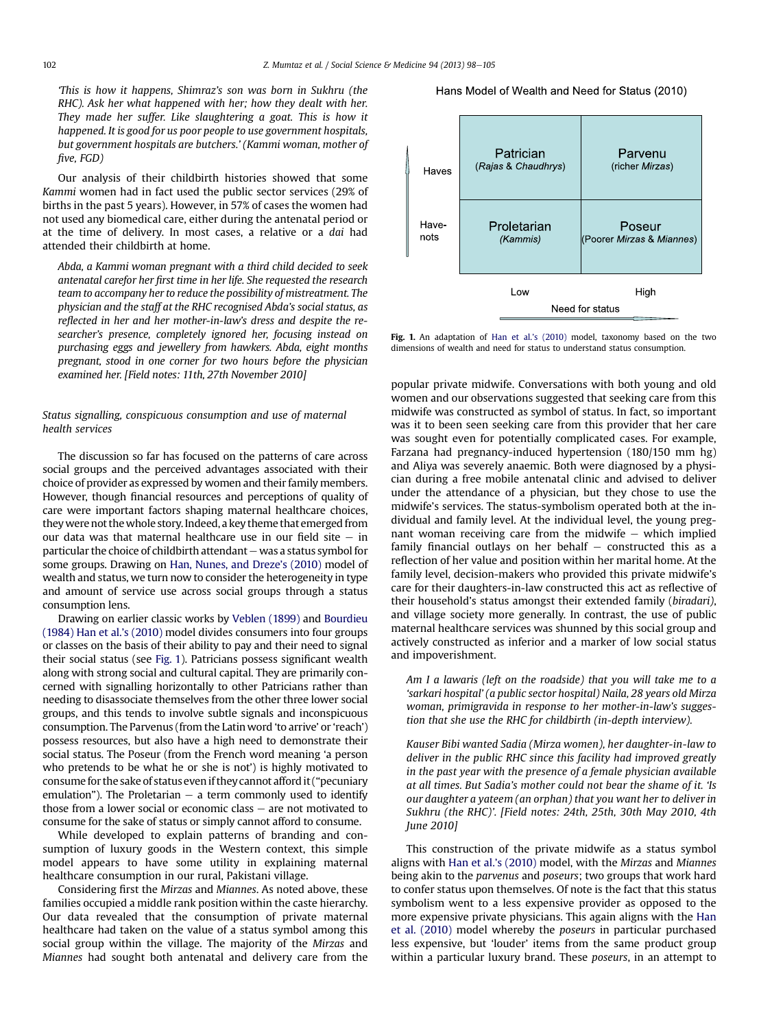'This is how it happens, Shimraz's son was born in Sukhru (the RHC). Ask her what happened with her; how they dealt with her. They made her suffer. Like slaughtering a goat. This is how it happened. It is good for us poor people to use government hospitals, but government hospitals are butchers.' (Kammi woman, mother of five, FGD)

Our analysis of their childbirth histories showed that some Kammi women had in fact used the public sector services (29% of births in the past 5 years). However, in 57% of cases the women had not used any biomedical care, either during the antenatal period or at the time of delivery. In most cases, a relative or a dai had attended their childbirth at home.

Abda, a Kammi woman pregnant with a third child decided to seek antenatal carefor her first time in her life. She requested the research team to accompany her to reduce the possibility of mistreatment. The physician and the staff at the RHC recognised Abda's social status, as reflected in her and her mother-in-law's dress and despite the researcher's presence, completely ignored her, focusing instead on purchasing eggs and jewellery from hawkers. Abda, eight months pregnant, stood in one corner for two hours before the physician examined her. [Field notes: 11th, 27th November 2010]

Status signalling, conspicuous consumption and use of maternal health services

The discussion so far has focused on the patterns of care across social groups and the perceived advantages associated with their choice of provider as expressed by women and their family members. However, though financial resources and perceptions of quality of care were important factors shaping maternal healthcare choices, they were not the whole story. Indeed, a key theme that emerged from our data was that maternal healthcare use in our field site  $-$  in particular the choice of childbirth attendant  $-$  was a status symbol for some groups. Drawing on [Han, Nunes, and Dreze](#page-6-0)'s (2010) model of wealth and status, we turn now to consider the heterogeneity in type and amount of service use across social groups through a status consumption lens.

Drawing on earlier classic works by [Veblen \(1899\)](#page-7-0) and [Bourdieu](#page-6-0) [\(1984\) Han et al.](#page-6-0)'s (2010) model divides consumers into four groups or classes on the basis of their ability to pay and their need to signal their social status (see Fig. 1). Patricians possess significant wealth along with strong social and cultural capital. They are primarily concerned with signalling horizontally to other Patricians rather than needing to disassociate themselves from the other three lower social groups, and this tends to involve subtle signals and inconspicuous consumption. The Parvenus (from the Latin word 'to arrive' or 'reach') possess resources, but also have a high need to demonstrate their social status. The Poseur (from the French word meaning 'a person who pretends to be what he or she is not') is highly motivated to consume for the sake of status even if they cannot afford it ("pecuniary emulation"). The Proletarian  $-$  a term commonly used to identify those from a lower social or economic class  $-$  are not motivated to consume for the sake of status or simply cannot afford to consume.

While developed to explain patterns of branding and consumption of luxury goods in the Western context, this simple model appears to have some utility in explaining maternal healthcare consumption in our rural, Pakistani village.

Considering first the Mirzas and Miannes. As noted above, these families occupied a middle rank position within the caste hierarchy. Our data revealed that the consumption of private maternal healthcare had taken on the value of a status symbol among this social group within the village. The majority of the Mirzas and Miannes had sought both antenatal and delivery care from the

### Hans Model of Wealth and Need for Status (2010)



Fig. 1. An adaptation of [Han et al.](#page-6-0)'s (2010) model, taxonomy based on the two dimensions of wealth and need for status to understand status consumption.

popular private midwife. Conversations with both young and old women and our observations suggested that seeking care from this midwife was constructed as symbol of status. In fact, so important was it to been seen seeking care from this provider that her care was sought even for potentially complicated cases. For example, Farzana had pregnancy-induced hypertension (180/150 mm hg) and Aliya was severely anaemic. Both were diagnosed by a physician during a free mobile antenatal clinic and advised to deliver under the attendance of a physician, but they chose to use the midwife's services. The status-symbolism operated both at the individual and family level. At the individual level, the young pregnant woman receiving care from the midwife  $-$  which implied family financial outlays on her behalf  $-$  constructed this as a reflection of her value and position within her marital home. At the family level, decision-makers who provided this private midwife's care for their daughters-in-law constructed this act as reflective of their household's status amongst their extended family (biradari), and village society more generally. In contrast, the use of public maternal healthcare services was shunned by this social group and actively constructed as inferior and a marker of low social status and impoverishment.

Am I a lawaris (left on the roadside) that you will take me to a 'sarkari hospital' (a public sector hospital) Naila, 28 years old Mirza woman, primigravida in response to her mother-in-law's suggestion that she use the RHC for childbirth (in-depth interview).

Kauser Bibi wanted Sadia (Mirza women), her daughter-in-law to deliver in the public RHC since this facility had improved greatly in the past year with the presence of a female physician available at all times. But Sadia's mother could not bear the shame of it. 'Is our daughter a yateem (an orphan) that you want her to deliver in Sukhru (the RHC)'. [Field notes: 24th, 25th, 30th May 2010, 4th June 2010]

This construction of the private midwife as a status symbol aligns with [Han et al.](#page-6-0)'s (2010) model, with the Mirzas and Miannes being akin to the parvenus and poseurs; two groups that work hard to confer status upon themselves. Of note is the fact that this status symbolism went to a less expensive provider as opposed to the more expensive private physicians. This again aligns with the [Han](#page-6-0) [et al. \(2010\)](#page-6-0) model whereby the poseurs in particular purchased less expensive, but 'louder' items from the same product group within a particular luxury brand. These poseurs, in an attempt to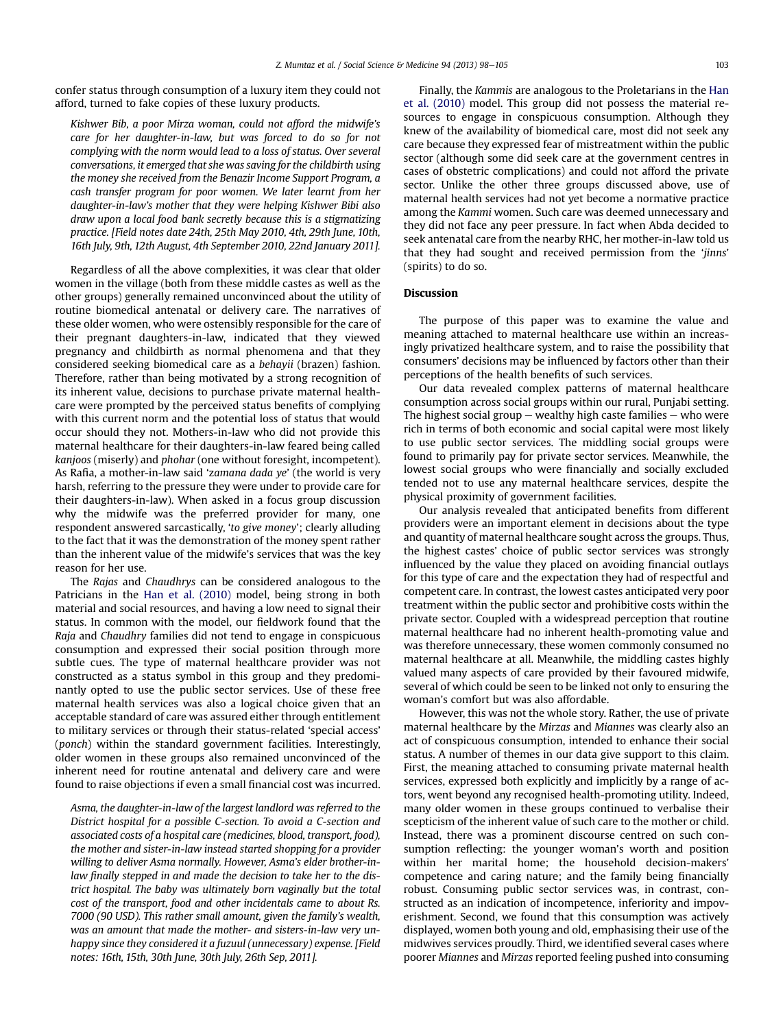confer status through consumption of a luxury item they could not afford, turned to fake copies of these luxury products.

Kishwer Bib, a poor Mirza woman, could not afford the midwife's care for her daughter-in-law, but was forced to do so for not complying with the norm would lead to a loss of status. Over several conversations, it emerged that she was saving for the childbirth using the money she received from the Benazir Income Support Program, a cash transfer program for poor women. We later learnt from her daughter-in-law's mother that they were helping Kishwer Bibi also draw upon a local food bank secretly because this is a stigmatizing practice. [Field notes date 24th, 25th May 2010, 4th, 29th June, 10th, 16th July, 9th, 12th August, 4th September 2010, 22nd January 2011].

Regardless of all the above complexities, it was clear that older women in the village (both from these middle castes as well as the other groups) generally remained unconvinced about the utility of routine biomedical antenatal or delivery care. The narratives of these older women, who were ostensibly responsible for the care of their pregnant daughters-in-law, indicated that they viewed pregnancy and childbirth as normal phenomena and that they considered seeking biomedical care as a behayii (brazen) fashion. Therefore, rather than being motivated by a strong recognition of its inherent value, decisions to purchase private maternal healthcare were prompted by the perceived status benefits of complying with this current norm and the potential loss of status that would occur should they not. Mothers-in-law who did not provide this maternal healthcare for their daughters-in-law feared being called kanjoos (miserly) and phohar (one without foresight, incompetent). As Rafia, a mother-in-law said 'zamana dada ye' (the world is very harsh, referring to the pressure they were under to provide care for their daughters-in-law). When asked in a focus group discussion why the midwife was the preferred provider for many, one respondent answered sarcastically, 'to give money'; clearly alluding to the fact that it was the demonstration of the money spent rather than the inherent value of the midwife's services that was the key reason for her use.

The Rajas and Chaudhrys can be considered analogous to the Patricians in the [Han et al. \(2010\)](#page-6-0) model, being strong in both material and social resources, and having a low need to signal their status. In common with the model, our fieldwork found that the Raja and Chaudhry families did not tend to engage in conspicuous consumption and expressed their social position through more subtle cues. The type of maternal healthcare provider was not constructed as a status symbol in this group and they predominantly opted to use the public sector services. Use of these free maternal health services was also a logical choice given that an acceptable standard of care was assured either through entitlement to military services or through their status-related 'special access' (ponch) within the standard government facilities. Interestingly, older women in these groups also remained unconvinced of the inherent need for routine antenatal and delivery care and were found to raise objections if even a small financial cost was incurred.

Asma, the daughter-in-law of the largest landlord was referred to the District hospital for a possible C-section. To avoid a C-section and associated costs of a hospital care (medicines, blood, transport, food), the mother and sister-in-law instead started shopping for a provider willing to deliver Asma normally. However, Asma's elder brother-inlaw finally stepped in and made the decision to take her to the district hospital. The baby was ultimately born vaginally but the total cost of the transport, food and other incidentals came to about Rs. 7000 (90 USD). This rather small amount, given the family's wealth, was an amount that made the mother- and sisters-in-law very unhappy since they considered it a fuzuul (unnecessary) expense. [Field notes: 16th, 15th, 30th June, 30th July, 26th Sep, 2011].

Finally, the Kammis are analogous to the Proletarians in the [Han](#page-6-0) [et al. \(2010\)](#page-6-0) model. This group did not possess the material resources to engage in conspicuous consumption. Although they knew of the availability of biomedical care, most did not seek any care because they expressed fear of mistreatment within the public sector (although some did seek care at the government centres in cases of obstetric complications) and could not afford the private sector. Unlike the other three groups discussed above, use of maternal health services had not yet become a normative practice among the Kammi women. Such care was deemed unnecessary and they did not face any peer pressure. In fact when Abda decided to seek antenatal care from the nearby RHC, her mother-in-law told us that they had sought and received permission from the 'jinns' (spirits) to do so.

## Discussion

The purpose of this paper was to examine the value and meaning attached to maternal healthcare use within an increasingly privatized healthcare system, and to raise the possibility that consumers' decisions may be influenced by factors other than their perceptions of the health benefits of such services.

Our data revealed complex patterns of maternal healthcare consumption across social groups within our rural, Punjabi setting. The highest social group  $-$  wealthy high caste families  $-$  who were rich in terms of both economic and social capital were most likely to use public sector services. The middling social groups were found to primarily pay for private sector services. Meanwhile, the lowest social groups who were financially and socially excluded tended not to use any maternal healthcare services, despite the physical proximity of government facilities.

Our analysis revealed that anticipated benefits from different providers were an important element in decisions about the type and quantity of maternal healthcare sought across the groups. Thus, the highest castes' choice of public sector services was strongly influenced by the value they placed on avoiding financial outlays for this type of care and the expectation they had of respectful and competent care. In contrast, the lowest castes anticipated very poor treatment within the public sector and prohibitive costs within the private sector. Coupled with a widespread perception that routine maternal healthcare had no inherent health-promoting value and was therefore unnecessary, these women commonly consumed no maternal healthcare at all. Meanwhile, the middling castes highly valued many aspects of care provided by their favoured midwife, several of which could be seen to be linked not only to ensuring the woman's comfort but was also affordable.

However, this was not the whole story. Rather, the use of private maternal healthcare by the Mirzas and Miannes was clearly also an act of conspicuous consumption, intended to enhance their social status. A number of themes in our data give support to this claim. First, the meaning attached to consuming private maternal health services, expressed both explicitly and implicitly by a range of actors, went beyond any recognised health-promoting utility. Indeed, many older women in these groups continued to verbalise their scepticism of the inherent value of such care to the mother or child. Instead, there was a prominent discourse centred on such consumption reflecting: the younger woman's worth and position within her marital home; the household decision-makers' competence and caring nature; and the family being financially robust. Consuming public sector services was, in contrast, constructed as an indication of incompetence, inferiority and impoverishment. Second, we found that this consumption was actively displayed, women both young and old, emphasising their use of the midwives services proudly. Third, we identified several cases where poorer Miannes and Mirzas reported feeling pushed into consuming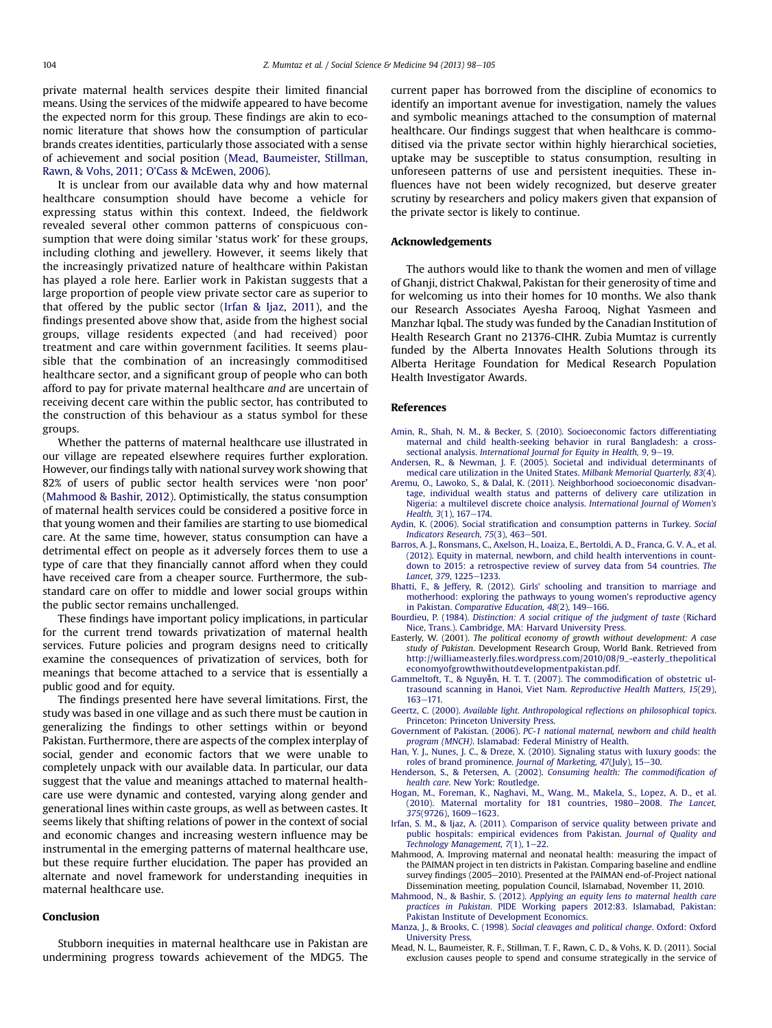<span id="page-6-0"></span>private maternal health services despite their limited financial means. Using the services of the midwife appeared to have become the expected norm for this group. These findings are akin to economic literature that shows how the consumption of particular brands creates identities, particularly those associated with a sense of achievement and social position (Mead, Baumeister, Stillman, Rawn, & Vohs, 2011; O'Cass & McEwen, 2006).

It is unclear from our available data why and how maternal healthcare consumption should have become a vehicle for expressing status within this context. Indeed, the fieldwork revealed several other common patterns of conspicuous consumption that were doing similar 'status work' for these groups, including clothing and jewellery. However, it seems likely that the increasingly privatized nature of healthcare within Pakistan has played a role here. Earlier work in Pakistan suggests that a large proportion of people view private sector care as superior to that offered by the public sector (Irfan & Ijaz, 2011), and the findings presented above show that, aside from the highest social groups, village residents expected (and had received) poor treatment and care within government facilities. It seems plausible that the combination of an increasingly commoditised healthcare sector, and a significant group of people who can both afford to pay for private maternal healthcare and are uncertain of receiving decent care within the public sector, has contributed to the construction of this behaviour as a status symbol for these groups.

Whether the patterns of maternal healthcare use illustrated in our village are repeated elsewhere requires further exploration. However, our findings tally with national survey work showing that 82% of users of public sector health services were 'non poor' (Mahmood & Bashir, 2012). Optimistically, the status consumption of maternal health services could be considered a positive force in that young women and their families are starting to use biomedical care. At the same time, however, status consumption can have a detrimental effect on people as it adversely forces them to use a type of care that they financially cannot afford when they could have received care from a cheaper source. Furthermore, the substandard care on offer to middle and lower social groups within the public sector remains unchallenged.

These findings have important policy implications, in particular for the current trend towards privatization of maternal health services. Future policies and program designs need to critically examine the consequences of privatization of services, both for meanings that become attached to a service that is essentially a public good and for equity.

The findings presented here have several limitations. First, the study was based in one village and as such there must be caution in generalizing the findings to other settings within or beyond Pakistan. Furthermore, there are aspects of the complex interplay of social, gender and economic factors that we were unable to completely unpack with our available data. In particular, our data suggest that the value and meanings attached to maternal healthcare use were dynamic and contested, varying along gender and generational lines within caste groups, as well as between castes. It seems likely that shifting relations of power in the context of social and economic changes and increasing western influence may be instrumental in the emerging patterns of maternal healthcare use, but these require further elucidation. The paper has provided an alternate and novel framework for understanding inequities in maternal healthcare use.

## Conclusion

Stubborn inequities in maternal healthcare use in Pakistan are undermining progress towards achievement of the MDG5. The current paper has borrowed from the discipline of economics to identify an important avenue for investigation, namely the values and symbolic meanings attached to the consumption of maternal healthcare. Our findings suggest that when healthcare is commoditised via the private sector within highly hierarchical societies, uptake may be susceptible to status consumption, resulting in unforeseen patterns of use and persistent inequities. These influences have not been widely recognized, but deserve greater scrutiny by researchers and policy makers given that expansion of the private sector is likely to continue.

#### Acknowledgements

The authors would like to thank the women and men of village of Ghanji, district Chakwal, Pakistan for their generosity of time and for welcoming us into their homes for 10 months. We also thank our Research Associates Ayesha Farooq, Nighat Yasmeen and Manzhar Iqbal. The study was funded by the Canadian Institution of Health Research Grant no 21376-CIHR. Zubia Mumtaz is currently funded by the Alberta Innovates Health Solutions through its Alberta Heritage Foundation for Medical Research Population Health Investigator Awards.

### References

- [Amin, R., Shah, N. M., & Becker, S. \(2010\). Socioeconomic factors differentiating](http://refhub.elsevier.com/S0277-9536(13)00344-4/sref1) [maternal and child health-seeking behavior in rural Bangladesh: a cross-](http://refhub.elsevier.com/S0277-9536(13)00344-4/sref1)sectional analysis. [International Journal for Equity in Health, 9](http://refhub.elsevier.com/S0277-9536(13)00344-4/sref1), 9-[19](http://refhub.elsevier.com/S0277-9536(13)00344-4/sref1).
- [Andersen, R., & Newman, J. F. \(2005\). Societal and individual determinants of](http://refhub.elsevier.com/S0277-9536(13)00344-4/sref2) [medical care utilization in the United States.](http://refhub.elsevier.com/S0277-9536(13)00344-4/sref2) Milbank Memorial Quarterly, 83(4).
- [Aremu, O., Lawoko, S., & Dalal, K. \(2011\). Neighborhood socioeconomic disadvan](http://refhub.elsevier.com/S0277-9536(13)00344-4/sref3)[tage, individual wealth status and patterns of delivery care utilization in](http://refhub.elsevier.com/S0277-9536(13)00344-4/sref3) [Nigeria: a multilevel discrete choice analysis.](http://refhub.elsevier.com/S0277-9536(13)00344-4/sref3) International Journal of Women's [Health, 3](http://refhub.elsevier.com/S0277-9536(13)00344-4/sref3)(1), 167-[174](http://refhub.elsevier.com/S0277-9536(13)00344-4/sref3).
- Aydin, K. (2006). Social stratifi[cation and consumption patterns in Turkey.](http://refhub.elsevier.com/S0277-9536(13)00344-4/sref4) Social Indicators Research,  $75(3)$ ,  $463-501$ .
- [Barros, A. J., Ronsmans, C., Axelson, H., Loaiza, E., Bertoldi, A. D., Franca, G. V. A., et al.](http://refhub.elsevier.com/S0277-9536(13)00344-4/sref5) [\(2012\). Equity in maternal, newborn, and child health interventions in count](http://refhub.elsevier.com/S0277-9536(13)00344-4/sref5)[down to 2015: a retrospective review of survey data from 54 countries.](http://refhub.elsevier.com/S0277-9536(13)00344-4/sref5) The [Lancet, 379](http://refhub.elsevier.com/S0277-9536(13)00344-4/sref5), 1225-[1233.](http://refhub.elsevier.com/S0277-9536(13)00344-4/sref5)
- Bhatti, F., & Jeffery, R. (2012). Girls' [schooling and transition to marriage and](http://refhub.elsevier.com/S0277-9536(13)00344-4/sref6) [motherhood: exploring the pathways to young women](http://refhub.elsevier.com/S0277-9536(13)00344-4/sref6)'s reproductive agency in Pakistan. Comparative Education,  $48(2)$ ,  $149-166$  $149-166$ .
- Bourdieu, P. (1984). [Distinction: A social critique of the judgment of taste](http://refhub.elsevier.com/S0277-9536(13)00344-4/sref7) (Richard [Nice, Trans.\). Cambridge, MA: Harvard University Press.](http://refhub.elsevier.com/S0277-9536(13)00344-4/sref7)
- Easterly, W. (2001). The political economy of growth without development: A case study of Pakistan. Development Research Group, World Bank. Retrieved from http://williameasterly.fi[les.wordpress.com/2010/08/9\\_-easterly\\_thepolitical](http://williameasterly.files.wordpress.com/2010/08/9_-easterly_thepoliticaleconomyofgrowthwithoutdevelopmentpakistan.pdf) [economyofgrowthwithoutdevelopmentpakistan.pdf](http://williameasterly.files.wordpress.com/2010/08/9_-easterly_thepoliticaleconomyofgrowthwithoutdevelopmentpakistan.pdf).
- Gammeltoft, T., & Nguyễ[n, H. T. T. \(2007\). The commodi](http://refhub.elsevier.com/S0277-9536(13)00344-4/sref9)fication of obstetric ul[trasound scanning in Hanoi, Viet Nam.](http://refhub.elsevier.com/S0277-9536(13)00344-4/sref9) Reproductive Health Matters, 15(29), [163](http://refhub.elsevier.com/S0277-9536(13)00344-4/sref9)e[171.](http://refhub.elsevier.com/S0277-9536(13)00344-4/sref9)
- Geertz, C. (2000). [Available light. Anthropological re](http://refhub.elsevier.com/S0277-9536(13)00344-4/sref10)flections on philosophical topics. [Princeton: Princeton University Press](http://refhub.elsevier.com/S0277-9536(13)00344-4/sref10).
- Government of Pakistan. (2006). [PC-1 national maternal, newborn and child health](http://refhub.elsevier.com/S0277-9536(13)00344-4/sref11) program (MNCH)[. Islamabad: Federal Ministry of Health.](http://refhub.elsevier.com/S0277-9536(13)00344-4/sref11)
- [Han, Y. J., Nunes, J. C., & Dreze, X. \(2010\). Signaling status with luxury goods: the](http://refhub.elsevier.com/S0277-9536(13)00344-4/sref12) [roles of brand prominence.](http://refhub.elsevier.com/S0277-9536(13)00344-4/sref12) Journal of Marketing, 47(July), 15-[30](http://refhub.elsevier.com/S0277-9536(13)00344-4/sref12).
- [Henderson, S., & Petersen, A. \(2002\).](http://refhub.elsevier.com/S0277-9536(13)00344-4/sref13) Consuming health: The commodification of health care[. New York: Routledge.](http://refhub.elsevier.com/S0277-9536(13)00344-4/sref13)
- [Hogan, M., Foreman, K., Naghavi, M., Wang, M., Makela, S., Lopez, A. D., et al.](http://refhub.elsevier.com/S0277-9536(13)00344-4/sref14) [\(2010\). Maternal mortality for 181 countries, 1980](http://refhub.elsevier.com/S0277-9536(13)00344-4/sref14)-2008. [The Lancet,](http://refhub.elsevier.com/S0277-9536(13)00344-4/sref14) 375[\(9726\), 1609](http://refhub.elsevier.com/S0277-9536(13)00344-4/sref14)-[1623.](http://refhub.elsevier.com/S0277-9536(13)00344-4/sref14)
- [Irfan, S. M., & Ijaz, A. \(2011\). Comparison of service quality between private and](http://refhub.elsevier.com/S0277-9536(13)00344-4/sref15) [public hospitals: empirical evidences from Pakistan.](http://refhub.elsevier.com/S0277-9536(13)00344-4/sref15) Journal of Quality and [Technology Management, 7](http://refhub.elsevier.com/S0277-9536(13)00344-4/sref15)(1), 1-[22.](http://refhub.elsevier.com/S0277-9536(13)00344-4/sref15)
- Mahmood, A. Improving maternal and neonatal health: measuring the impact of the PAIMAN project in ten districts in Pakistan. Comparing baseline and endline survey findings (2005-2010). Presented at the PAIMAN end-of-Project national Dissemination meeting, population Council, Islamabad, November 11, 2010.
- Mahmood, N., & Bashir, S. (2012). [Applying an equity lens to maternal health care](http://refhub.elsevier.com/S0277-9536(13)00344-4/sref16) practices in Pakistan[. PIDE Working papers 2012:83. Islamabad, Pakistan:](http://refhub.elsevier.com/S0277-9536(13)00344-4/sref16) [Pakistan Institute of Development Economics](http://refhub.elsevier.com/S0277-9536(13)00344-4/sref16).
- Manza, J., & Brooks, C. (1998). [Social cleavages and political change](http://refhub.elsevier.com/S0277-9536(13)00344-4/sref17). Oxford: Oxford [University Press](http://refhub.elsevier.com/S0277-9536(13)00344-4/sref17).
- Mead, N. L., Baumeister, R. F., Stillman, T. F., Rawn, C. D., & Vohs, K. D. (2011). Social exclusion causes people to spend and consume strategically in the service of